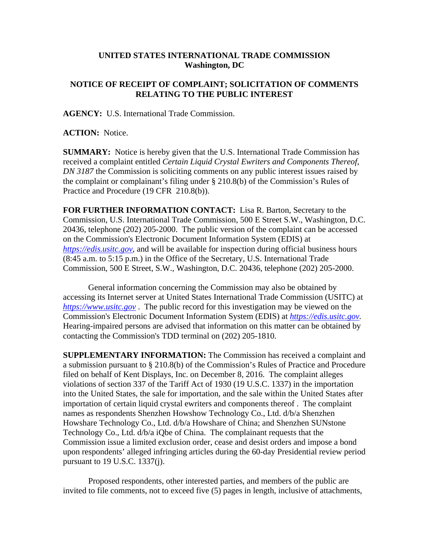## **UNITED STATES INTERNATIONAL TRADE COMMISSION Washington, DC**

## **NOTICE OF RECEIPT OF COMPLAINT; SOLICITATION OF COMMENTS RELATING TO THE PUBLIC INTEREST**

**AGENCY:** U.S. International Trade Commission.

**ACTION:** Notice.

**SUMMARY:** Notice is hereby given that the U.S. International Trade Commission has received a complaint entitled *Certain Liquid Crystal Ewriters and Components Thereof, DN 3187* the Commission is soliciting comments on any public interest issues raised by the complaint or complainant's filing under § 210.8(b) of the Commission's Rules of Practice and Procedure (19 CFR 210.8(b)).

**FOR FURTHER INFORMATION CONTACT:** Lisa R. Barton, Secretary to the Commission, U.S. International Trade Commission, 500 E Street S.W., Washington, D.C. 20436, telephone (202) 205-2000. The public version of the complaint can be accessed on the Commission's Electronic Document Information System (EDIS) at *https://edis.usitc.gov*, and will be available for inspection during official business hours (8:45 a.m. to 5:15 p.m.) in the Office of the Secretary, U.S. International Trade Commission, 500 E Street, S.W., Washington, D.C. 20436, telephone (202) 205-2000.

General information concerning the Commission may also be obtained by accessing its Internet server at United States International Trade Commission (USITC) at *https://www.usitc.gov* . The public record for this investigation may be viewed on the Commission's Electronic Document Information System (EDIS) at *https://edis.usitc.gov.* Hearing-impaired persons are advised that information on this matter can be obtained by contacting the Commission's TDD terminal on (202) 205-1810.

**SUPPLEMENTARY INFORMATION:** The Commission has received a complaint and a submission pursuant to § 210.8(b) of the Commission's Rules of Practice and Procedure filed on behalf of Kent Displays, Inc. on December 8, 2016. The complaint alleges violations of section 337 of the Tariff Act of 1930 (19 U.S.C. 1337) in the importation into the United States, the sale for importation, and the sale within the United States after importation of certain liquid crystal ewriters and components thereof . The complaint names as respondents Shenzhen Howshow Technology Co., Ltd. d/b/a Shenzhen Howshare Technology Co., Ltd. d/b/a Howshare of China; and Shenzhen SUNstone Technology Co., Ltd. d/b/a iQbe of China. The complainant requests that the Commission issue a limited exclusion order, cease and desist orders and impose a bond upon respondents' alleged infringing articles during the 60-day Presidential review period pursuant to 19 U.S.C. 1337(j).

Proposed respondents, other interested parties, and members of the public are invited to file comments, not to exceed five (5) pages in length, inclusive of attachments,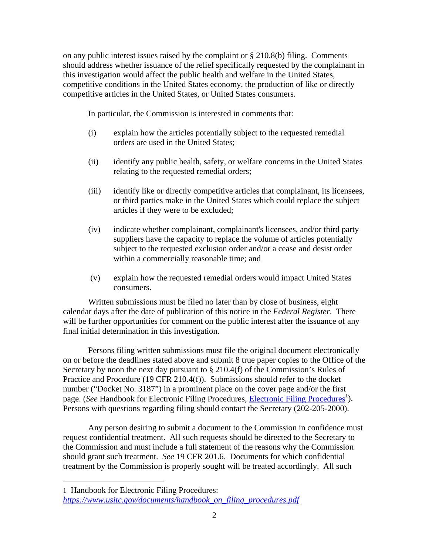on any public interest issues raised by the complaint or § 210.8(b) filing. Comments should address whether issuance of the relief specifically requested by the complainant in this investigation would affect the public health and welfare in the United States, competitive conditions in the United States economy, the production of like or directly competitive articles in the United States, or United States consumers.

In particular, the Commission is interested in comments that:

- (i) explain how the articles potentially subject to the requested remedial orders are used in the United States;
- (ii) identify any public health, safety, or welfare concerns in the United States relating to the requested remedial orders;
- (iii) identify like or directly competitive articles that complainant, its licensees, or third parties make in the United States which could replace the subject articles if they were to be excluded;
- (iv) indicate whether complainant, complainant's licensees, and/or third party suppliers have the capacity to replace the volume of articles potentially subject to the requested exclusion order and/or a cease and desist order within a commercially reasonable time; and
- (v) explain how the requested remedial orders would impact United States consumers.

Written submissions must be filed no later than by close of business, eight calendar days after the date of publication of this notice in the *Federal Register*. There will be further opportunities for comment on the public interest after the issuance of any final initial determination in this investigation.

Persons filing written submissions must file the original document electronically on or before the deadlines stated above and submit 8 true paper copies to the Office of the Secretary by noon the next day pursuant to  $\S 210.4(f)$  of the Commission's Rules of Practice and Procedure (19 CFR 210.4(f)). Submissions should refer to the docket number ("Docket No. 3187") in a prominent place on the cover page and/or the first page. (*See* Handbook for Electronic Filing Procedures, *Electronic Filing Procedures*<sup>1</sup>). Persons with questions regarding filing should contact the Secretary (202-205-2000).

Any person desiring to submit a document to the Commission in confidence must request confidential treatment. All such requests should be directed to the Secretary to the Commission and must include a full statement of the reasons why the Commission should grant such treatment. *See* 19 CFR 201.6. Documents for which confidential treatment by the Commission is properly sought will be treated accordingly. All such

 $\overline{a}$ 

<sup>1</sup> Handbook for Electronic Filing Procedures: *https://www.usitc.gov/documents/handbook\_on\_filing\_procedures.pdf*